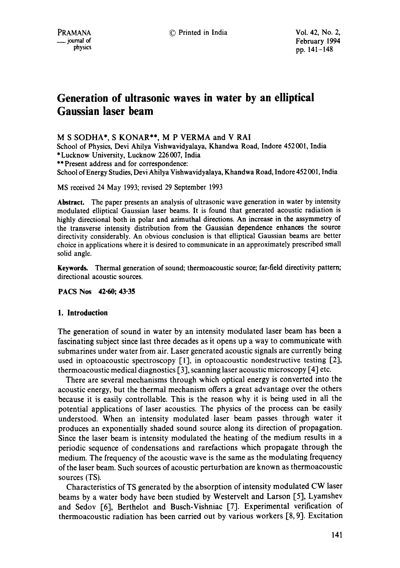# **Generation of ultrasonic waves in water by an elliptical Gaussian laser beam**

**M S SODHA\*, S** KONAR\*\*, M P VERMA and V RAI

School of Physics, Devi Ahilya Vishwavidyalaya, Khandwa Road, Indore 452 001, India \* Lucknow University, Lucknow 226 007, India \*\* Present address and for correspondence:

School of Energy Studies, Devi Ahilya Vishwavidyalaya, Khandwa Road, Indore 452 001, India

MS received 24 May 1993; revised 29 September 1993

**Abstract.** The paper presents an analysis of ultrasonic wave generation in water by intensity modulated elliptical Gaussian laser beams. It is found that generated acoustic radiation is highly directional both in polar and azimuthal directions. An increase in the assymmetry of the transverse intensity distribution from the Gaussian dependence enhances the source directivity considerably. An obvious conclusion is that elliptical Gaussian beams are better choice in applications where it is desired to communicate in an approximately prescribed small solid angle.

**Keywords.** Thermal generation of sound; thermoacoustic source; far-field directivity pattern; directional acoustic sources.

**PACS Nos 42.60; 43.35** 

#### **1. Introduction**

The generation of sound in water by an intensity modulated laser beam has been a fascinating subject since last three decades as it opens up a way to communicate with submarines under water from air. Laser generated acoustic signals are currently being used in optoacoustic spectroscopy  $[1]$ , in optoacoustic nondestructive testing  $[2]$ , thermoacoustic medical diagnostics [3], scanning laser acoustic microscopy [41 etc.

There are several mechanisms through which optical energy is converted into the acoustic energy, but the thermal mechanism offers a great advantage over the others because it is easily controllable. This is the reason why it is being used in all the potential applications of laser acoustics. The physics of the process can be easily understood. When an intensity modulated laser beam passes through water it produces an exponentially shaded sound source along its direction of propagation. Since the laser beam is intensity modulated the heating of the medium results in a periodic sequence of condensations and rarefactions which propagate through the medium. The frequency of the acoustic wave is the same as the modulating frequency of the laser beam. Such sources of acoustic perturbation are known as thermoacoustic sources (TS).

Characteristics of TS generated by the absorption of intensity modulated CW laser beams by a water body have been studied by Westervelt and Larson [5], Lyamshev and Sedov [6], Berthelot and Busch-Vishniac [7]. Experimental verification of thermoacoustic radiation has been carried out by various workers  $[8, 9]$ . Excitation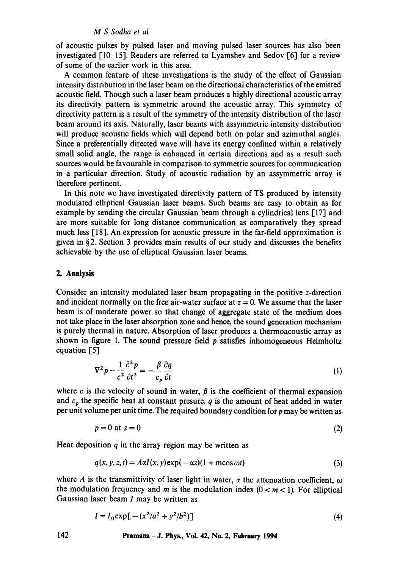## *M S Sodha et al*

of acoustic pulses by pulsed laser and moving pulsed laser sources has also been investigated [10-15]. Readers are referred to Lyamshev and Sedov [6] for a review of some of the earlier work in this area.

A common feature of these investigations is the study of the effect of Gaussian intensity distribution in the laser beam on the directional characteristics of the emitted acoustic field. Though such a laser beam produces a highly directional acoustic array its directivity pattern is symmetric around the acoustic array. This symmetry of directivity pattern is a result of the symmetry of the intensity distribution of the laser beam around its axis. Naturally, laser beams with assymmetric intensity distribution will produce acoustic fields which will depend both on polar and azimuthal angles. Since a preferentially directed wave will have its energy confined within a relatively small solid angle, the range is enhanced in certain directions and as a result such sources would be favourable in comparison to symmetric sources for communication in a particular direction. Study of acoustic radiation by an assymmetric array is therefore pertinent.

In this note we have investigated directivity pattern of TS produced by intensity modulated elliptical Gaussian laser beams. Such beams are easy to obtain as for example by sending the circular Gaussian beam through a cylindrical lens [17] and are more suitable for long distance communication as comparatively they spread much less [18]. An expression for acoustic pressure in the far-field approximation is given in § 2. Section 3 provides main results of our study and discusses the benefits achievable by the use of elliptical Gaussian laser beams.

## **2. Analysis**

Consider an intensity modulated laser beam propagating in the positive z-direction and incident normally on the free air-water surface at  $z = 0$ . We assume that the laser beam is of moderate power so that change of aggregate state of the medium does not take place in the laser absorption zone and hence, the sound generation mechanism is purely thermal in nature. Absorption of laser produces a thermoacoustic array as shown in figure 1. The sound pressure field  $p$  satisfies inhomogeneous Helmholtz equation [5]

$$
\nabla^2 p - \frac{1}{c^2} \frac{\partial^2 p}{\partial t^2} = -\frac{\beta}{c_p} \frac{\partial q}{\partial t}
$$
 (1)

where c is the velocity of sound in water,  $\beta$  is the coefficient of thermal expansion and  $c_p$  the specific heat at constant presure, q is the amount of heat added in water per unit volume per unit time. The required boundary condition for  $p$  may be written as

$$
p = 0 \text{ at } z = 0 \tag{2}
$$

Heat deposition  $q$  in the array region may be written as

$$
q(x, y, z, t) = A\alpha I(x, y) \exp(-\alpha z)(1 + \text{m}\cos \omega t)
$$
\n(3)

where A is the transmittivity of laser light in water,  $\alpha$  the attenuation coefficient,  $\omega$ the modulation frequency and m is the modulation index  $(0 < m < 1)$ . For elliptical Gaussian laser beam  $I$  may be written as

$$
I = I_0 \exp[-(x^2/a^2 + y^2/b^2)]
$$
 (4)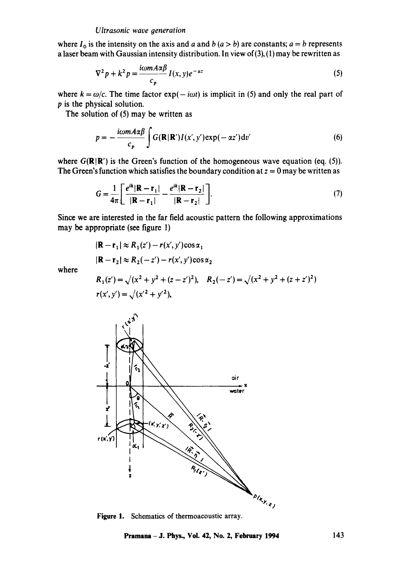#### *Ultrasonic wave generation*

where  $I_0$  is the intensity on the axis and a and b  $(a > b)$  are constants;  $a = b$  represents a laser beam with Gaussian intensity distribution. In view of  $(3)$ ,  $(1)$  may be rewritten as

$$
\nabla^2 p + k^2 p = \frac{i\omega m A \alpha \beta}{c_p} I(x, y) e^{-\alpha z}
$$
 (5)

where  $k = \omega/c$ . The time factor  $exp(- i \omega t)$  is implicit in (5) and only the real part of p is the physical solution.

The solution of (5) may be written as

$$
p = -\frac{i\omega m A \alpha \beta}{c_p} \int G(\mathbf{R}|\mathbf{R}') I(x', y') \exp(-\alpha z') dv'
$$
 (6)

where  $G(\mathbb{R}|\mathbb{R}')$  is the Green's function of the homogeneous wave equation (eq. (5)). The Green's function which satisfies the boundary condition at  $z = 0$  may be written as

$$
G = \frac{1}{4\pi} \left[ \frac{e^{ik} |\mathbf{R} - \mathbf{r}_1|}{|\mathbf{R} - \mathbf{r}_1|} - \frac{e^{ik} |\mathbf{R} - \mathbf{r}_2|}{|\mathbf{R} - \mathbf{r}_2|} \right].
$$
 (7)

Since we are interested in the far field acoustic pattern the following approximations may be appropriate (see figure 1)

$$
|\mathbf{R} - \mathbf{r}_1| \approx R_1(z') - r(x', y')\cos\alpha_1
$$
  

$$
|\mathbf{R} - \mathbf{r}_2| \approx R_2(-z') - r(x', y')\cos\alpha_2
$$

where

$$
R_1(z') = \sqrt{(x^2 + y^2 + (z - z')^2)}, \quad R_2(-z') = \sqrt{(x^2 + y^2 + (z + z')^2)}
$$
  

$$
r(x', y') = \sqrt{(x'^2 + y'^2)},
$$



Figure 1. Schematics of thermoacoustic array.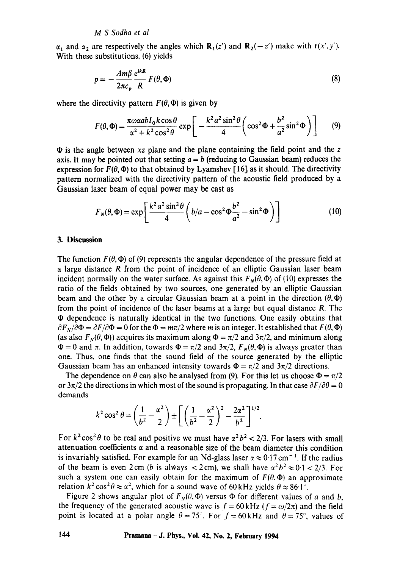$\alpha_1$  and  $\alpha_2$  are respectively the angles which  $\mathbf{R}_1(z')$  and  $\mathbf{R}_2(-z')$  make with  $\mathbf{r}(x',y')$ . With these substitutions, (6) yields

$$
p = -\frac{Am\beta}{2\pi c_p} \frac{e^{ikR}}{R} F(\theta, \Phi)
$$
 (8)

where the directivity pattern  $F(\theta, \Phi)$  is given by

$$
F(\theta,\Phi) = \frac{\pi \omega \alpha ab I_0 k \cos \theta}{\alpha^2 + k^2 \cos^2 \theta} \exp\left[-\frac{k^2 a^2 \sin^2 \theta}{4} \left(\cos^2 \Phi + \frac{b^2}{a^2} \sin^2 \Phi\right)\right]
$$
(9)

• is the angle between *xz* plane and the plane containing the field point and the z axis. It may be pointed out that setting  $a = b$  (reducing to Gaussian beam) reduces the expression for  $F(\theta, \Phi)$  to that obtained by Lyamshev [16] as it should. The directivity pattern normalized with the directivity pattern of the acoustic field produced by a Gaussian laser beam of equal power may be cast as

$$
F_N(\theta, \Phi) = \exp\left[\frac{k^2 a^2 \sin^2 \theta}{4} \left(b/a - \cos^2 \Phi \frac{b^2}{a^2} - \sin^2 \Phi\right)\right]
$$
(10)

#### **3. Discussion**

The function  $F(\theta, \Phi)$  of (9) represents the angular dependence of the pressure field at a large distance R from the point of incidence of an elliptic Gaussian laser beam incident normally on the water surface. As against this  $F_N(\theta, \Phi)$  of (10) expresses the ratio of the fields obtained by two sources, one generated by an elliptic Gaussian beam and the other by a circular Gaussian beam at a point in the direction  $(\theta, \Phi)$ from the point of incidence of the laser beams at a large but equal distance R. The  $\Phi$  dependence is naturally identical in the two functions. One easily obtains that  $\partial F_N/\partial \Phi = \partial F/\partial \Phi = 0$  for the  $\Phi = m\pi/2$  where *m* is an integer. It established that  $F(\theta, \Phi)$ (as also  $F_N(\theta, \Phi)$ ) acquires its maximum along  $\Phi = \pi/2$  and  $3\pi/2$ , and minimum along  $\Phi = 0$  and  $\pi$ . In addition, towards  $\Phi = \pi/2$  and  $3\pi/2$ ,  $F_N(\theta, \Phi)$  is always greater than one. Thus, one finds that the sound field of the source generated by the elliptic Gaussian beam has an enhanced intensity towards  $\Phi = \pi/2$  and  $3\pi/2$  directions.

The dependence on  $\theta$  can also be analysed from (9). For this let us choose  $\Phi = \pi/2$ or  $3\pi/2$  the directions in which most of the sound is propagating. In that case  $\partial F/\partial \theta = 0$ demands

$$
k^{2} \cos^{2} \theta = \left(\frac{1}{b^{2}} - \frac{\alpha^{2}}{2}\right) \pm \left[\left(\frac{1}{b^{2}} - \frac{\alpha^{2}}{2}\right)^{2} - \frac{2\alpha^{2}}{b^{2}}\right]^{1/2}.
$$

For  $k^2 \cos^2 \theta$  to be real and positive we must have  $\alpha^2 b^2 < 2/3$ . For lasers with small attenuation coefficients  $\alpha$  and a reasonable size of the beam diameter this condition is invariably satisfied. For example for an Nd-glass laser  $\alpha \approx 0.17 \text{ cm}^{-1}$ . If the radius of the beam is even 2 cm (b is always  $<$  2 cm), we shall have  $\alpha^2 b^2 \approx 0.1 < 2/3$ . For such a system one can easily obtain for the maximum of  $F(\theta, \Phi)$  an approximate relation  $k^2 \cos^2 \theta \approx \alpha^2$ , which for a sound wave of 60 kHz yields  $\theta \approx 86.1^\circ$ .

Figure 2 shows angular plot of  $F_N(\theta, \Phi)$  versus  $\Phi$  for different values of a and b, the frequency of the generated acoustic wave is  $f = 60$  kHz ( $f = \omega/2\pi$ ) and the field point is located at a polar angle  $\theta = 75^\circ$ . For  $f = 60 \text{ kHz}$  and  $\theta = 75^\circ$ , values of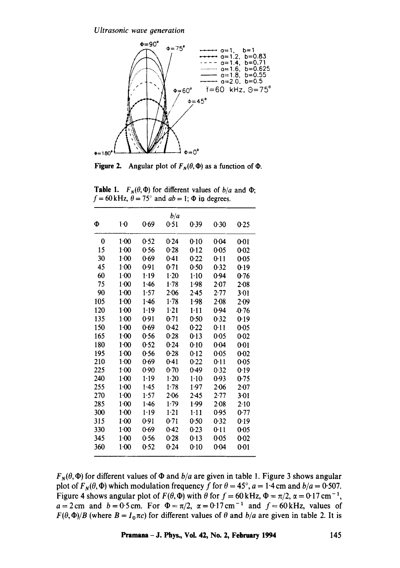*Ultrasonic wave generation* 



Figure 2. Angular plot of  $F_N(\theta, \Phi)$  as a function of  $\Phi$ .

**Table 1.**  $F_N(\theta, \Phi)$  for different values of  $b/a$  and  $\Phi$ ;  $f = 60$  kHz,  $\theta = 75^\circ$  and  $ab = 1$ ;  $\Phi$  in degrees.

|     |          |          | b/a      |          |        |          |
|-----|----------|----------|----------|----------|--------|----------|
| Φ   | $1-0$    | 0.69     | 0.51     | 0.39     | 0.30   | 0.25     |
| 0   | $1 - 00$ | 0.52     | 0.24     | 0:10     | 0.04   | $0-01$   |
| 15  | 1.00     | 0.56     | 0.28     | 0.12     | 0.05   | $0 - 02$ |
| 30  | $1-00$   | 0.69     | 0.41     | 0.22     | 0.11   | 0.05     |
| 45  | $1-00$   | 0.91     | 0.71     | 0.50     | 0.32   | 0.19     |
| 60  | 1·00     | $1-19$   | $1-20$   | $1-10$   | 0.94   | 0.76     |
| 75  | $1 - 00$ | 1.46     | 1.78     | 1.98     | 2.07   | $2 - 08$ |
| 90  | $1 - 00$ | 1.57     | 2.06     | 2.45     | 2.77   | $3-01$   |
| 105 | $1 - 00$ | 1.46     | 1.78     | 1.98     | $2-08$ | 2.09     |
| 120 | 1:00     | $1 - 19$ | $1 - 21$ | $1 - 11$ | 0.94   | -0-76    |
| 135 | $1-00$   | 0.91     | 0.71     | 0.50     | 0.32   | 0.19     |
| 150 | $1-00$   | 0.69     | 0.42     | 0.22     | 0.11   | 0.05     |
| 165 | $1 - 00$ | 0.56     | 0.28     | 0.13     | 0.05   | 0.02     |
| 180 | $1 - 00$ | 0.52     | 0.24     | 0.10     | 0.04   | 0:01     |
| 195 | $1-00$   | 0.56     | 0.28     | 0.12     | 0.05   | 0.02     |
| 210 | $1-00$   | 0.69     | 0.41     | 0.22     | 0.11   | 0.05     |
| 225 | $1-00$   | 0.90     | $0 - 70$ | 0.49     | 0.32   | 0.19     |
| 240 | $1 - 00$ | 1.19     | $1-20$   | $1 - 10$ | 0.93   | 0.75     |
| 255 | $1 - 00$ | 1.45     | 1.78     | 1.97     | 2.06   | 2.07     |
| 270 | $1 - 00$ | 1.57     | 2.06     | 2.45     | 2.77   | $3 - 01$ |
| 285 | $1 - 00$ | 1.46     | 1.79     | 1.99     | 2.08   | 2.10     |
| 300 | $1-00$   | 1.19     | $1-21$   | $1 - 11$ | 0.95   | 0.77     |
| 315 | $1 - 00$ | 0.91     | 0.71     | 0.50     | 0.32   | 0.19     |
| 330 | $1-00$   | 0.69     | 0.42     | 0.23     | 0.11   | 0.05     |
| 345 | $1 - 00$ | 0.56     | 0.28     | 0.13     | 0.05   | 0.02     |
| 360 | $1 - 00$ | 0.52     | 0.24     | 0.10     | 0.04   | 0.01     |

 $F_N(\theta, \Phi)$  for different values of  $\Phi$  and  $b/a$  are given in table 1. Figure 3 shows angular plot of  $F_N(\theta, \Phi)$  which modulation frequency f for  $\theta = 45^\circ$ ,  $a = 1.4$  cm and  $b/a = 0.507$ . Figure 4 shows angular plot of  $F(\theta, \Phi)$  with  $\theta$  for  $f = 60$  kHz,  $\Phi = \pi/2$ ,  $\alpha = 0.17$  cm<sup>-1</sup>,  $a=2$  cm and  $b=0.5$  cm. For  $\Phi=\pi/2$ ,  $\alpha=0.17$  cm<sup>-1</sup> and  $f=60$  kHz, values of  $F(\theta, \Phi)/B$  (where  $B = I_0 \pi c$ ) for different values of  $\theta$  and  $b/a$  are given in table 2. It is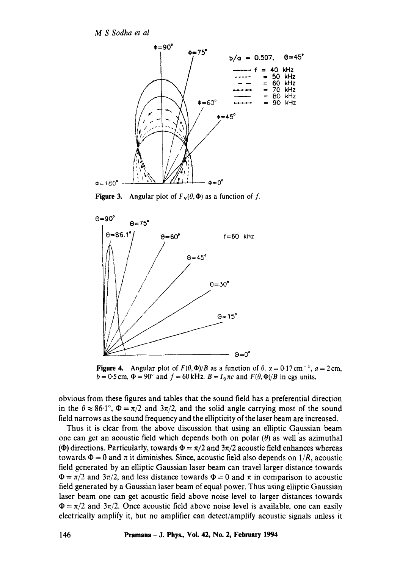*M S Sodha et al* 



Figure 3. Angular plot of  $F_N(\theta, \Phi)$  as a function of f.



**Figure 4.** Angular plot of  $F(\theta, \Phi)/B$  as a function of  $\theta$ .  $\alpha = 0.17$  cm<sup>-1</sup>,  $a = 2$  cm,  $b = 0.5$  cm,  $\Phi = 90^\circ$  and  $f = 60$  kHz.  $B = I_0 \pi c$  and  $F(\theta, \Phi)/B$  in cgs units.

obvious from these figures and tables that the sound field has a preferential direction in the  $\theta \approx 86.1^{\circ}$ ,  $\Phi = \pi/2$  and  $3\pi/2$ , and the solid angle carrying most of the sound field narrows as the sound frequency and the ellipticity of the laser beam are increased.

Thus it is clear from the above discussion that using an elliptic Gaussian beam one can get an acoustic field which depends both on polar  $(\theta)$  as well as azimuthal ( $\Phi$ ) directions. Particularly, towards  $\Phi = \pi/2$  and  $3\pi/2$  acoustic field enhances whereas towards  $\Phi = 0$  and  $\pi$  it diminishes. Since, acoustic field also depends on  $1/R$ , acoustic field generated by an elliptic Gaussian laser beam can travel larger distance towards  $\Phi = \pi/2$  and  $3\pi/2$ , and less distance towards  $\Phi = 0$  and  $\pi$  in comparison to acoustic field generated by a Gaussian laser beam of equal power. Thus using elliptic Gaussian laser beam one can get acoustic field above noise level to larger distances towards  $\Phi = \pi/2$  and  $3\pi/2$ . Once acoustic field above noise level is available, one can easily electrically amplify it, but no amplifier can detect/amplify acoustic signals unless it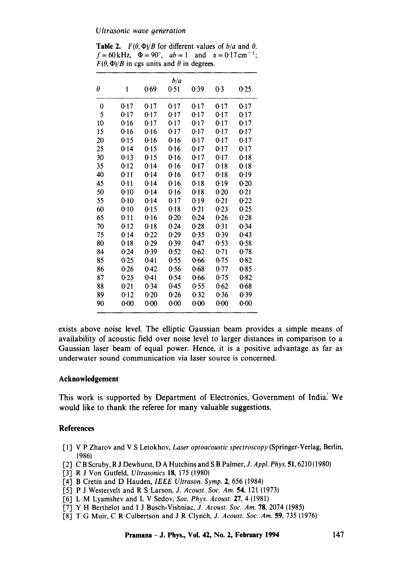**Table 2.**  $F(\theta, \Phi)/B$  for different values of  $b/a$  and  $\theta$ .  $f=60 \text{ kHz}, \quad \Phi=90^{\circ}, \quad ab=1 \quad \text{and} \quad \alpha=0.17 \text{ cm}^{-1};$  $F(\theta, \Phi)/B$  in cgs units and  $\theta$  in degrees.

|    |      |        | b/a  |      |        |      |
|----|------|--------|------|------|--------|------|
| θ  | 1    | 0.69   | 0.51 | 0.39 | 0-3    | 0.25 |
| 0  | 0.17 | 0.17   | 0.17 | 0.17 | 0.17   | 0-17 |
| 5  | 0.17 | 0.17   | 0.17 | 0.17 | $0-17$ | 0.17 |
| 10 | 0.16 | 0.17   | 0.17 | 0.17 | 0.17   | 0.17 |
| 15 | 0.16 | 0.16   | 0.17 | 0.17 | 0.17   | 0.17 |
| 20 | 0.15 | 0.16   | 0.16 | 0.17 | 0.17   | 0.17 |
| 25 | 0.14 | 0.15   | 0.16 | 0.17 | 0.17   | 0.17 |
| 30 | 0.13 | 0.15   | 0.16 | 0.17 | 0.17   | 0.18 |
| 35 | 0.12 | 0.14   | 0.16 | 0.17 | 0.18   | 0.18 |
| 40 | 0.11 | 0.14   | 0.16 | 0.17 | 0.18   | 0.19 |
| 45 | 0.11 | 0.14   | 0.16 | 0.18 | 0.19   | 0.20 |
| 50 | 0.10 | 0.14   | 0.16 | 0.18 | 0.20   | 0.21 |
| 55 | 0.10 | 0.14   | 0.17 | 0.19 | 0.21   | 0.22 |
| 60 | 0.10 | 0.15   | 0.18 | 0.21 | 0.23   | 0.25 |
| 65 | 0.11 | 0.16   | 0.20 | 0.24 | 0.26   | 0.28 |
| 70 | 0.12 | 0.18   | 0.24 | 0.28 | 0.31   | 0.34 |
| 75 | 0.14 | 0.22   | 0.29 | 0.35 | 0.39   | 0.43 |
| 80 | 0.18 | 0.29   | 0.39 | 0.47 | 0.53   | 0.58 |
| 84 | 0.24 | 0.39   | 0.52 | 0.62 | 0.71   | 0.78 |
| 85 | 0.25 | 0.41   | 0.55 | 0.66 | 0.75   | 0.82 |
| 86 | 0.26 | 0.42   | 0.56 | 0.68 | 0.77   | 0.85 |
| 87 | 0.25 | 0.41   | 0.54 | 0.66 | 0.75   | 0.82 |
| 88 | 0.21 | 0.34   | 0.45 | 0.55 | 0.62   | 0.68 |
| 89 | 0.12 | $0-20$ | 0.26 | 0.32 | 0.36   | 0.39 |
| 90 | 0.00 | 0.00   | 0.00 | 0.00 | 0.00   | 0.00 |

**exists above noise level. The elliptic Gaussian beam provides a simple means of availability of acoustic field over noise level to larger distances in comparison to a**  Gaussian laser beam of equal power. Hence, it is a positive advantage as far as underwater sound communication via laser source is concerned.

# **Acknowledgement**

This work is supported by Department of Electronics, Government of India? We would like to thank the referee for many valuable suggestions.

# **References**

- [1] V P Zharov and V S Letokhov, *Laser optoacoustic spectroscopy* (Springer-Verlag, Berlin, 1986)
- [2] C B Scruby, R J Dewhurst, D A Hutchins and S B Palmer, *J. Appl. Phys.* 51, 6210 (1980)
- 1-3] R J Von Gutfeld, *Ultrasonics* 18, 175 (1980)
- [4] B Cretin and D Hauden, *IEEE Ultrason. Syrup.* 2, 656 (1984)
- 1-5] P J Westervelt and R S Larson, *J. Acoust, Soc. Am.* 54, 121 (1973)
- [6] L M Lyamshev and L V Sedov, *Soy. Phys. Acoust.* 27, 4 (1981)
- 1"7] Y H Berthelot and I J Busch-Vishniac, *J. Acoust. Soc. Am.* 78, 2074 (1985)
- [8] T G Muir, C R Culbertson and J R Clynch, *J. Acoust. Soc. Am.* 59, 735 (1976)